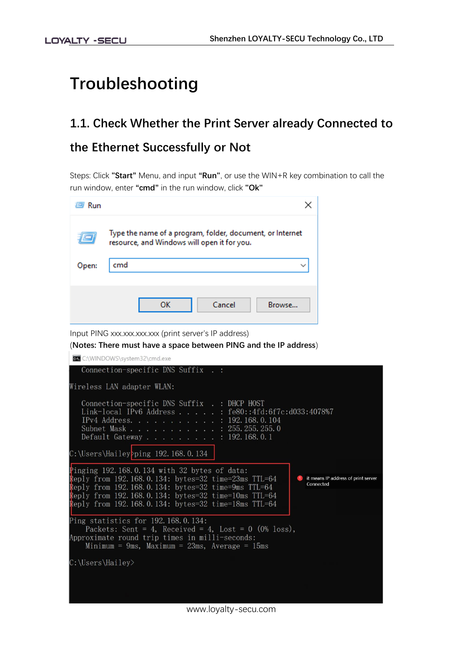# **Troubleshooting**

## **1.1. Check Whether the Print Server already Connected to the Ethernet Successfully or Not**

Steps: Click **"Start"** Menu, and input **"Run"**, or use the WIN+R key combination to call the run window, enter **"cmd"** in the run window, click **"Ok"**

| Run   |                                                                                                          |
|-------|----------------------------------------------------------------------------------------------------------|
|       | Type the name of a program, folder, document, or Internet<br>resource, and Windows will open it for you. |
| Open: | cmd                                                                                                      |
|       |                                                                                                          |
|       | Cancel<br>Browse<br>ок                                                                                   |

Input PING xxx.xxx.xxx.xxx (print server's IP address)

(**Notes: There must have a space between PING and the IP address**)

C:\WINDOWS\system32\cmd.exe Connection-specific DNS Suffix . : Wireless LAN adapter WLAN: Connection-specific DNS Suffix . : DHCP HOST  $\begin{tabular}{l} Link--local IPV6 Address . . . . . . : fe80::4fd:6f7c: d033:4078\%7 \\\it IPv4 Address . . . . . . . . . . : 192.168.0.104 \\\it Subnet Mask . . . . . . . . . : 255.255.255.0 \\\it Default Gateway . . . . . . . : 192.168.0.1 \end{tabular}$ C:\Users\Hailey>ping 192.168.0.134 linging 192.168.0.134 with 32 bytes of data: Reply from 192.168.0.134: bytes=32 time=23ms TTL=64 **1** it means IP address of print server Connected Reply from 192.168.0.134: bytes=32 time=9ms TTL=64<br>Reply from 192.168.0.134: bytes=32 time=10ms TTL=64 Reply from 192.168.0.134: bytes=32 time=18ms TTL=64 Ping statistics for 192.168.0.134: Packets: Sent = 4, Received = 4, Lost =  $0$  (0% loss), Approximate round trip times in milli-seconds: Minimum =  $9ms$ , Maximum =  $23ms$ , Average =  $15ms$ C:\Users\Hailey>

www.loyalty-secu.com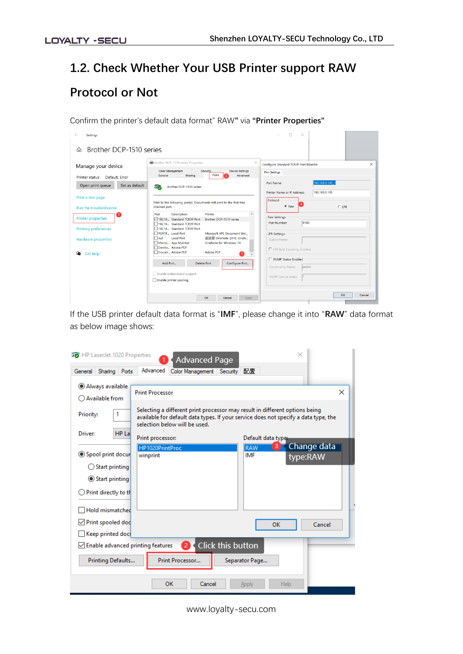# **1.2. Check Whether Your USB Printer support RAW Protocol or Not**

Confirm the printer's default data format" RAW**"** via **"Printer Properties"**

| Settings                           |                                                                                                                                                      | $\Box$<br>$\times$                                             |
|------------------------------------|------------------------------------------------------------------------------------------------------------------------------------------------------|----------------------------------------------------------------|
| Brother DCP-1510 series<br>⋒       |                                                                                                                                                      |                                                                |
| Manage your device                 | Brother DCP-1510 series Properties                                                                                                                   | $\times$<br>$\times$<br>Configure Standard TCP/IP Port Monitor |
| Default, Error<br>Printer status:  | Color Management<br><b>Device Settings</b><br>Security<br>Ports<br>Sharing<br>Advanced<br>General<br>э.                                              | Port Settings                                                  |
| Open print queue<br>Set as default | 5ø<br>Brother DCP-1510 series                                                                                                                        | 192.168.0.105<br>Port Name:                                    |
| Print a test page                  |                                                                                                                                                      | 192.168.0.105<br>Printer Name or IP Address:<br>Protocol       |
| Run the troubleshooter             | Print to the following port(s). Documents will print to the first free<br>checked port.                                                              | G Raw<br>CLPR                                                  |
| <b>Printer properties</b>          | Port<br>Description<br>Printer<br>$\overline{\phantom{a}}$<br>Brother DCP-1510 series<br>192.16 Standard TCP/IP Port<br>192.16. Standard TCP/IP Port | <b>Raw Settings</b><br>9100<br>Port Number:                    |
| <b>Printing preferences</b>        | 192.16 Standard TCP/IP Port<br>PORTP Local Port<br>Microsoft XPS Document Wri                                                                        | <b>LPR Settings</b>                                            |
| <b>Hardware properties</b>         | $\Box$ nul:<br>发送至 OneNote 2010, OneN<br><b>Local Port</b><br>Micros App Monitor<br>OneNote for Windows 10                                           | Queue Name:                                                    |
| 的<br><b>Get help</b>               | Deskto Adobe PDF<br>Docum Adobe PDF<br>Adobe PDF<br>8                                                                                                | E LPR Byte Counting Enabled                                    |
|                                    | Configure Port<br>Add Port<br><b>Delete Port</b>                                                                                                     | SNMP Status Enabled<br>public<br>Community Name:               |
|                                    | Enable bidirectional support                                                                                                                         | SNMP Device Index:                                             |
|                                    | Enable printer pooling                                                                                                                               |                                                                |
|                                    | OK<br>Cancel<br>Apply                                                                                                                                | OK<br>Cancel                                                   |

If the USB printer default data format is "**IMF**", please change it into "**RAW**" data format as below image shows:

| Fo HP LaserJet 1020 Properties                | ×<br><b>Advanced Page</b>                                                                                                                                                                           |  |
|-----------------------------------------------|-----------------------------------------------------------------------------------------------------------------------------------------------------------------------------------------------------|--|
| General Sharing Ports                         | Advanced<br>配置<br>Color Management Security                                                                                                                                                         |  |
| Always available<br>$\bigcirc$ Available from | ×<br><b>Print Processor</b>                                                                                                                                                                         |  |
| Priority:<br>1                                | Selecting a different print processor may result in different options being<br>available for default data types. If your service does not specify a data type, the<br>selection below will be used. |  |
| $HP$ La<br>Driver:                            | Default data type:<br>Print processor:                                                                                                                                                              |  |
| Spool print docur                             | Change data<br>3<br>RAW<br>HP1020PrintProc<br>IMF<br>winprint<br>type:RAW                                                                                                                           |  |
| $\bigcirc$ Start printing                     |                                                                                                                                                                                                     |  |
| ◎ Start printing                              |                                                                                                                                                                                                     |  |
| Print directly to th                          |                                                                                                                                                                                                     |  |
| Hold mismatched                               |                                                                                                                                                                                                     |  |
| $\sqrt{}$ Print spooled dod                   | Cancel<br><b>OK</b>                                                                                                                                                                                 |  |
| $\Box$ Keep printed doct                      |                                                                                                                                                                                                     |  |
| $\vee$ Enable advanced printing features      | Click this button<br>$\mathbf{2}^{\prime}$                                                                                                                                                          |  |
| Printing Defaults                             | Print Processor<br>Separator Page                                                                                                                                                                   |  |
|                                               | OK<br>Cancel<br>Help<br>Apply                                                                                                                                                                       |  |

www.loyalty-secu.com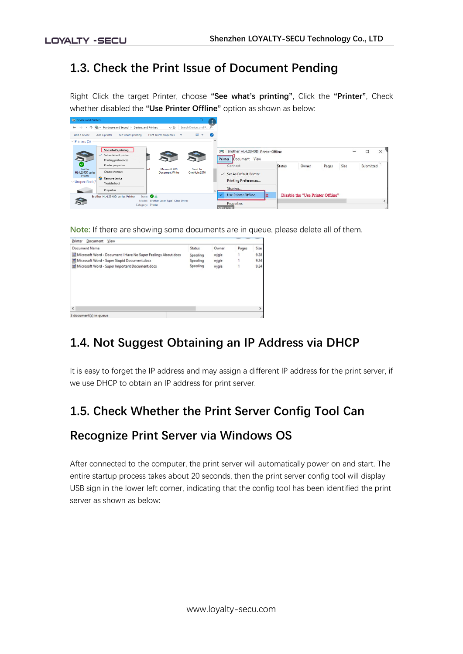### **1.3. Check the Print Issue of Document Pending**

Right Click the target Printer, choose **"See what's printing"**, Click the **"Printer"**, Check whether disabled the **"Use Printer Offline"** option as shown as below:

| <b>Fre</b> Devices and Printers            |                                                                                             |                                                              | -                       | ÷ |                                                            |        |                                   |       |      |           |          |
|--------------------------------------------|---------------------------------------------------------------------------------------------|--------------------------------------------------------------|-------------------------|---|------------------------------------------------------------|--------|-----------------------------------|-------|------|-----------|----------|
| $\leftarrow$ $\rightarrow$<br>$\checkmark$ | 个 Fix << Hardware and Sound > Devices and Printers                                          | $\sim$ 0                                                     | Search Devices and P P  |   |                                                            |        |                                   |       |      |           |          |
| Add a device                               | Add a printer<br>See what's printing                                                        | Print server properties >>>                                  | $\blacksquare$          | Q |                                                            |        |                                   |       |      |           |          |
| $\vee$ Printers (5)                        |                                                                                             |                                                              |                         |   |                                                            |        |                                   |       |      |           |          |
| S<br>$\bullet$                             | See what's printing<br>Set as default printer<br>Printing preferences<br>Printer properties |                                                              |                         | m | Brother HL-L2340D Printer Offline<br>Printer Document View |        |                                   |       |      | □         | $\times$ |
| <b>Brother</b><br>HL-L2340D series         | Create shortcut                                                                             | <b>Microsoft XPS</b><br>fint<br><b>Document Writer</b>       | Send To<br>OneNote 2016 |   | Connect<br>$\checkmark$ Set As Default Printer             | Status | Owner                             | Pages | Size | Submitted |          |
| Printer<br>$\vee$ Unspecified (2)          | Remove device<br>Troubleshoot                                                               |                                                              |                         |   | Printing Preferences                                       |        |                                   |       |      |           |          |
|                                            | Properties                                                                                  |                                                              |                         |   | Sharing                                                    |        |                                   |       |      |           |          |
|                                            | Brother HL-L2340D series Printer<br>State:                                                  | <b>O</b> L                                                   |                         |   | <b>Use Printer Offline</b><br>2                            |        | Disable the "Use Printer Offline" |       |      |           |          |
|                                            | Model:                                                                                      | <b>Brother Laser Type1 Class Driver</b><br>Category: Printer |                         |   | Properties<br>589 x 220                                    |        |                                   |       |      |           |          |

**Note:** If there are showing some documents are in queue, please delete all of them.

| Printer<br>Document<br>View                                   |          |       |       |      |
|---------------------------------------------------------------|----------|-------|-------|------|
| Document Name                                                 | Status   | Owner | Pages | Size |
| Microsoft Word - Document I Have No Super Feelings About.docx | Spooling | wjgle |       | 9.28 |
| Microsoft Word - Super Stupid Document.docx                   | Spooling | wjgle |       | 9.24 |
| Microsoft Word - Super Important Document.docx                | Spooling | wjgle |       | 9.24 |
| $\epsilon$                                                    |          |       |       |      |
|                                                               |          |       |       |      |
| 3 document(s) in queue                                        |          |       |       |      |

### **1.4. Not Suggest Obtaining an IP Address via DHCP**

It is easy to forget the IP address and may assign a different IP address for the print server, if we use DHCP to obtain an IP address for print server.

### **1.5. Check Whether the Print Server Config Tool Can**

#### **Recognize Print Server via Windows OS**

After connected to the computer, the print server will automatically power on and start. The entire startup process takes about 20 seconds, then the print server config tool will display USB sign in the lower left corner, indicating that the config tool has been identified the print server as shown as below: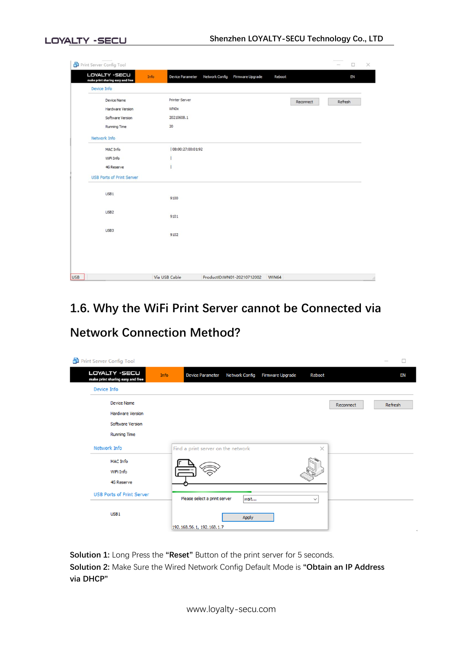| Print Server Config Tool                                 |                                                                          | $\Box$               |
|----------------------------------------------------------|--------------------------------------------------------------------------|----------------------|
| <b>LOYALTY -SECU</b><br>make print sharing easy and free | Network Config<br>Info<br>Firmware Upgrade<br>Device Parameter<br>Reboot | EN                   |
| Device Info                                              |                                                                          |                      |
| Device Name                                              | Printer Server                                                           | Refresh<br>Reconnect |
| Hardware Version                                         | <b>WNOx</b>                                                              |                      |
| Software Version                                         | 20210608.1                                                               |                      |
| <b>Running Time</b>                                      | 20                                                                       |                      |
| Network Info                                             |                                                                          |                      |
| MAC Info                                                 | 08:00:27:00:01:92                                                        |                      |
| WiFi Info                                                |                                                                          |                      |
| 4G Reserve                                               |                                                                          |                      |
| <b>USB Ports of Print Server</b>                         |                                                                          |                      |
| USB1                                                     | 9100                                                                     |                      |
| USB <sub>2</sub>                                         | 9101                                                                     |                      |
| USB3                                                     | 9102                                                                     |                      |
|                                                          |                                                                          |                      |
|                                                          |                                                                          |                      |

## **1.6. Why the WiFi Print Server cannot be Connected via Network Connection Method?**

| Print Server Config Tool                                                                 |                                    |                       |                         |              |           | П<br>$\overline{\phantom{a}}$ |
|------------------------------------------------------------------------------------------|------------------------------------|-----------------------|-------------------------|--------------|-----------|-------------------------------|
| LOYALTY - SECU<br>Info<br>make print sharing easy and free                               | <b>Device Parameter</b>            | <b>Network Config</b> | <b>Firmware Upgrade</b> | Reboot       |           | EN                            |
| Device Info                                                                              |                                    |                       |                         |              |           |                               |
| <b>Device Name</b><br><b>Hardware Version</b><br>Software Version<br><b>Running Time</b> |                                    |                       |                         |              | Reconnect | Refresh                       |
| Network Info                                                                             | Find a print server on the network |                       |                         | $\times$     |           |                               |
| <b>MAC Info</b><br>WiFi Info<br><b>4G Reserve</b>                                        |                                    |                       |                         |              |           |                               |
| <b>USB Ports of Print Server</b>                                                         | Please select a print server       | wait                  |                         | $\checkmark$ |           |                               |
| USB <sub>1</sub>                                                                         | 192.168.56.1, 192.168.1.7          | Apply                 |                         |              |           |                               |

**Solution 1:** Long Press the **"Reset"** Button of the print server for 5 seconds. **Solution 2:** Make Sure the Wired Network Config Default Mode is **"Obtain an IP Address via DHCP"**

www.loyalty-secu.com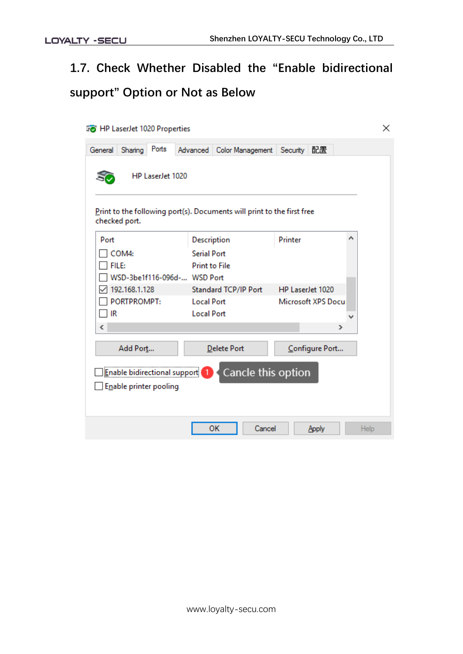# **1.7. Check Whether Disabled the "Enable bidirectional support" Option or Not as Below**

| <b>Fo</b> HP LaserJet 1020 Properties                                                   |                                                                |                                               | ×    |
|-----------------------------------------------------------------------------------------|----------------------------------------------------------------|-----------------------------------------------|------|
| Ports<br>Sharing<br>General                                                             | Advanced   Color Management   Security   配置                    |                                               |      |
| HP LaserJet 1020                                                                        |                                                                |                                               |      |
| Print to the following port(s). Documents will print to the first free<br>checked port. |                                                                |                                               |      |
| Port<br>COM4:<br>FILE:<br>WSD-3be1f116-096d- WSD Port                                   | Description<br><b>Serial Port</b><br><b>Print to File</b>      | Printer                                       | Α    |
| 192.168.1.128<br>PORTPROMPT:<br>IR                                                      | Standard TCP/IP Port<br><b>Local Port</b><br><b>Local Port</b> | HP LaserJet 1020<br><b>Microsoft XPS Docu</b> |      |
| ∢<br>Add Port                                                                           | <b>Delete Port</b>                                             | ⋗<br>Configure Port                           |      |
| ا Enable bidirectional support <u>i</u><br>Enable printer pooling                       | Cancle this option                                             |                                               |      |
|                                                                                         | OK<br>Cancel                                                   | Apply                                         | Help |